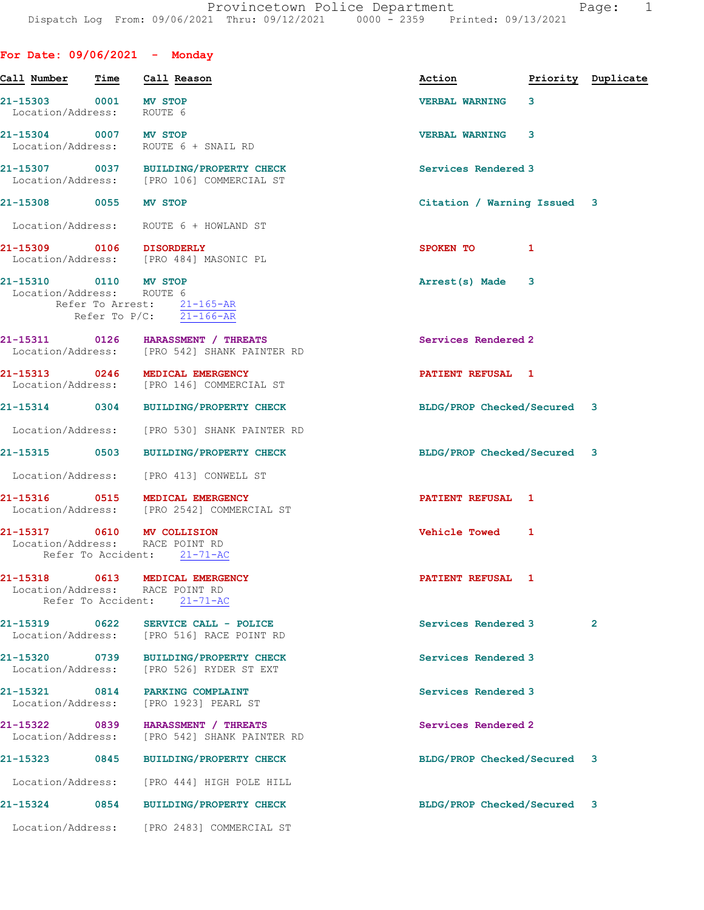| For Date: $09/06/2021$ - Monday                    |      |                                                                                                   |                             |   |                    |
|----------------------------------------------------|------|---------------------------------------------------------------------------------------------------|-----------------------------|---|--------------------|
| Call Number                                        | Time | Call Reason                                                                                       | Action                      |   | Priority Duplicate |
| 21-15303 0001 MV STOP<br>Location/Address: ROUTE 6 |      |                                                                                                   | <b>VERBAL WARNING</b>       | 3 |                    |
| 21-15304 0007 MV STOP                              |      | Location/Address: ROUTE 6 + SNAIL RD                                                              | <b>VERBAL WARNING</b>       | 3 |                    |
|                                                    |      | 21-15307 0037 BUILDING/PROPERTY CHECK<br>Location/Address: [PRO 106] COMMERCIAL ST                | Services Rendered 3         |   |                    |
| 21-15308 0055 MV STOP                              |      |                                                                                                   | Citation / Warning Issued 3 |   |                    |
|                                                    |      | Location/Address: ROUTE 6 + HOWLAND ST                                                            |                             |   |                    |
| 21-15309 0106 DISORDERLY                           |      | Location/Address: [PRO 484] MASONIC PL                                                            | SPOKEN TO                   | 1 |                    |
| 21-15310 0110 MV STOP<br>Location/Address: ROUTE 6 |      | Refer To Arrest: $\frac{21-165-AR}{1}$<br>Refer To $P/C$ : 21-166-AR                              | Arrest(s) Made              | 3 |                    |
|                                                    |      | 21-15311 0126 HARASSMENT / THREATS<br>Location/Address: [PRO 542] SHANK PAINTER RD                | Services Rendered 2         |   |                    |
|                                                    |      | 21-15313 0246 MEDICAL EMERGENCY<br>Location/Address: [PRO 146] COMMERCIAL ST                      | PATIENT REFUSAL 1           |   |                    |
|                                                    |      | 21-15314 0304 BUILDING/PROPERTY CHECK                                                             | BLDG/PROP Checked/Secured 3 |   |                    |
|                                                    |      | Location/Address: [PRO 530] SHANK PAINTER RD                                                      |                             |   |                    |
|                                                    |      | 21-15315 0503 BUILDING/PROPERTY CHECK                                                             | BLDG/PROP Checked/Secured 3 |   |                    |
|                                                    |      | Location/Address: [PRO 413] CONWELL ST                                                            |                             |   |                    |
|                                                    |      | 21-15316 0515 MEDICAL EMERGENCY<br>Location/Address: [PRO 2542] COMMERCIAL ST                     | PATIENT REFUSAL 1           |   |                    |
|                                                    |      | 21-15317 0610 MV COLLISION<br>Location/Address: RACE POINT RD<br>Refer To Accident: 21-71-AC      | <b>Vehicle Towed</b>        | 1 |                    |
|                                                    |      | 21-15318 0613 MEDICAL EMERGENCY<br>Location/Address: RACE POINT RD<br>Refer To Accident: 21-71-AC | PATIENT REFUSAL 1           |   |                    |
| 21-15319 0622                                      |      | SERVICE CALL - POLICE<br>Location/Address: [PRO 516] RACE POINT RD                                | Services Rendered 3         |   | $\overline{2}$     |
| Location/Address:                                  |      | 21-15320 0739 BUILDING/PROPERTY CHECK<br>[PRO 526] RYDER ST EXT                                   | Services Rendered 3         |   |                    |
| 21-15321 0814<br>Location/Address:                 |      | PARKING COMPLAINT<br>[PRO 1923] PEARL ST                                                          | Services Rendered 3         |   |                    |
| 21-15322 0839<br>Location/Address:                 |      | HARASSMENT / THREATS<br>[PRO 542] SHANK PAINTER RD                                                | Services Rendered 2         |   |                    |
| 21-15323                                           | 0845 | <b>BUILDING/PROPERTY CHECK</b>                                                                    | BLDG/PROP Checked/Secured 3 |   |                    |
| Location/Address:                                  |      | [PRO 444] HIGH POLE HILL                                                                          |                             |   |                    |
| 21-15324                                           |      | 0854 BUILDING/PROPERTY CHECK                                                                      | BLDG/PROP Checked/Secured 3 |   |                    |
|                                                    |      | Location/Address: [PRO 2483] COMMERCIAL ST                                                        |                             |   |                    |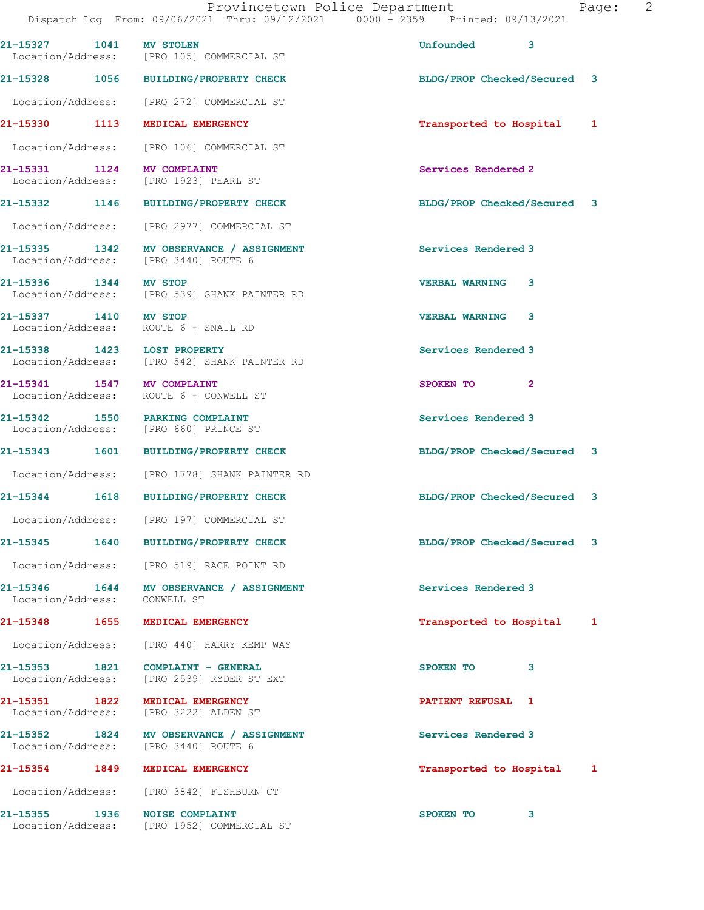| 21-15327 1041         | <b>MV STOLEN</b><br>Location/Address: [PRO 105] COMMERCIAL ST                    | Unfounded<br>3              |  |
|-----------------------|----------------------------------------------------------------------------------|-----------------------------|--|
|                       | 21-15328 1056 BUILDING/PROPERTY CHECK                                            | BLDG/PROP Checked/Secured 3 |  |
|                       | Location/Address: [PRO 272] COMMERCIAL ST                                        |                             |  |
| 21-15330              | 1113 MEDICAL EMERGENCY                                                           | Transported to Hospital 1   |  |
|                       | Location/Address: [PRO 106] COMMERCIAL ST                                        |                             |  |
|                       | 21-15331 1124 MV COMPLAINT<br>Location/Address: [PRO 1923] PEARL ST              | Services Rendered 2         |  |
|                       | 21-15332 1146 BUILDING/PROPERTY CHECK                                            | BLDG/PROP Checked/Secured 3 |  |
|                       | Location/Address: [PRO 2977] COMMERCIAL ST                                       |                             |  |
|                       | 21-15335 1342 MV OBSERVANCE / ASSIGNMENT<br>Location/Address: [PRO 3440] ROUTE 6 | Services Rendered 3         |  |
| 21-15336 1344 MV STOP | Location/Address: [PRO 539] SHANK PAINTER RD                                     | <b>VERBAL WARNING 3</b>     |  |
| 21-15337 1410 MV STOP | Location/Address: ROUTE 6 + SNAIL RD                                             | <b>VERBAL WARNING</b><br>3  |  |
|                       | 21-15338 1423 LOST PROPERTY<br>Location/Address: [PRO 542] SHANK PAINTER RD      | Services Rendered 3         |  |
|                       | 21-15341 1547 MV COMPLAINT<br>Location/Address: ROUTE 6 + CONWELL ST             | SPOKEN TO<br>$\mathbf{2}$   |  |
|                       | 21-15342 1550 PARKING COMPLAINT<br>Location/Address: [PRO 660] PRINCE ST         | Services Rendered 3         |  |
| 21-15343 1601         | <b>BUILDING/PROPERTY CHECK</b>                                                   | BLDG/PROP Checked/Secured 3 |  |
|                       | Location/Address: [PRO 1778] SHANK PAINTER RD                                    |                             |  |
|                       | 21-15344 1618 BUILDING/PROPERTY CHECK                                            | BLDG/PROP Checked/Secured 3 |  |
|                       | Location/Address: [PRO 197] COMMERCIAL ST                                        |                             |  |
|                       | 21-15345 1640 BUILDING/PROPERTY CHECK                                            | BLDG/PROP Checked/Secured 3 |  |
|                       | Location/Address: [PRO 519] RACE POINT RD                                        |                             |  |
|                       | 21-15346 1644 MV OBSERVANCE / ASSIGNMENT<br>Location/Address: CONWELL ST         | Services Rendered 3         |  |
|                       | 21-15348 1655 MEDICAL EMERGENCY                                                  | Transported to Hospital 1   |  |
|                       | Location/Address: [PRO 440] HARRY KEMP WAY                                       |                             |  |
|                       | 21-15353 1821 COMPLAINT - GENERAL<br>Location/Address: [PRO 2539] RYDER ST EXT   | SPOKEN TO<br>3              |  |
|                       | 21-15351 1822 MEDICAL EMERGENCY<br>Location/Address: [PRO 3222] ALDEN ST         | PATIENT REFUSAL 1           |  |
|                       | 21-15352 1824 MV OBSERVANCE / ASSIGNMENT<br>Location/Address: [PRO 3440] ROUTE 6 | Services Rendered 3         |  |
|                       | 21-15354 1849 MEDICAL EMERGENCY                                                  | Transported to Hospital 1   |  |
|                       | Location/Address: [PRO 3842] FISHBURN CT                                         |                             |  |
|                       | 21-15355 1936 NOISE COMPLAINT<br>Location/Address: [PRO 1952] COMMERCIAL ST      | SPOKEN TO<br>3              |  |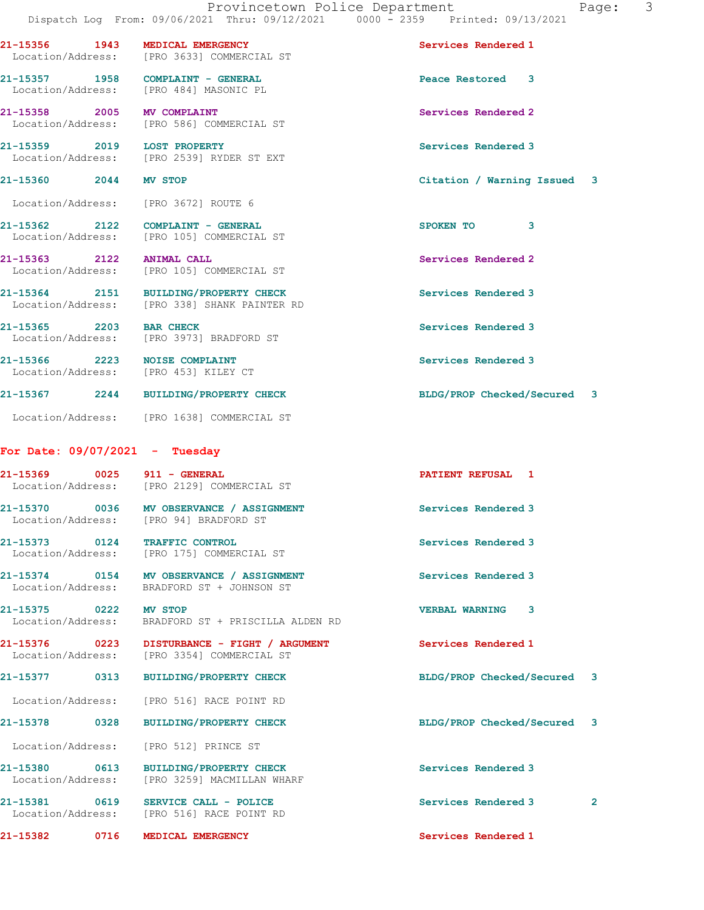21-15356 1943 MEDICAL EMERGENCY Services Rendered 1 Location/Address: [PRO 3633] COMMERCIAL ST

21-15357 1958 COMPLAINT - GENERAL Peace Restored 3 Location/Address: [PRO 484] MASONIC PL

21-15358 2005 MV COMPLAINT Services Rendered 2 Location/Address: [PRO 586] COMMERCIAL ST

21-15359 2019 LOST PROPERTY<br>
Location/Address: [PRO 2539] RYDER ST EXT Location/Address: [PRO 2539] RYDER ST EXT

21-15360 2044 MV STOP Citation / Warning Issued 3

Location/Address: [PRO 3672] ROUTE 6

21-15362 2122 COMPLAINT - GENERAL 21-15362 SPOKEN TO 3 Location/Address: [PRO 105] COMMERCIAL ST

21-15363 2122 ANIMAL CALL Services Rendered 2 Location/Address: [PRO 105] COMMERCIAL ST

21-15365 2203 BAR CHECK Services Rendered 3

21-15367 2244 BUILDING/PROPERTY CHECK BLDG/PROP Checked/Secured 3

For Date: 09/07/2021 - Tuesday

21-15369 0025 911 - GENERAL PATIENT REFUSAL 1 Location/Address: [PRO 2129] COMMERCIAL ST

21-15364 2151 BUILDING/PROPERTY CHECK Services Rendered 3 Location/Address: [PRO 338] SHANK PAINTER RD

Location/Address: [PRO 3973] BRADFORD ST

Location/Address: [PRO 453] KILEY CT

Location/Address: [PRO 1638] COMMERCIAL ST

[PRO 94] BRADFORD ST

21-15373 0124 TRAFFIC CONTROL Services Rendered 3 Location/Address: [PRO 175] COMMERCIAL ST

21-15374 0154 MV OBSERVANCE / ASSIGNMENT Services Rendered 3 Location/Address: BRADFORD ST + JOHNSON ST

21-15375 0222 MV STOP VERBAL WARNING 3

Location/Address: BRADFORD ST + PRISCILLA ALDEN RD

21-15376 0223 DISTURBANCE - FIGHT / ARGUMENT Services Rendered 1 Location/Address: [PRO 3354] COMMERCIAL ST

Location/Address: [PRO 516] RACE POINT RD

Location/Address: [PRO 512] PRINCE ST

21-15380 0613 BUILDING/PROPERTY CHECK Services Rendered 3 Location/Address: [PRO 3259] MACMILLAN WHARF

21-15381 0619 SERVICE CALL - POLICE 20 Services Rendered 3 Location/Address: [PRO 516] RACE POINT RD

21-15382 0716 MEDICAL EMERGENCY Services Rendered 1

21-15366 2223 NOISE COMPLAINT Services Rendered 3

21-15370 0036 MV OBSERVANCE / ASSIGNMENT Services Rendered 3<br>
Location/Address: [PRO 94] BRADFORD ST

21-15377 0313 BUILDING/PROPERTY CHECK BLDG/PROP Checked/Secured 3

21-15378 0328 BUILDING/PROPERTY CHECK BLDG/PROP Checked/Secured 3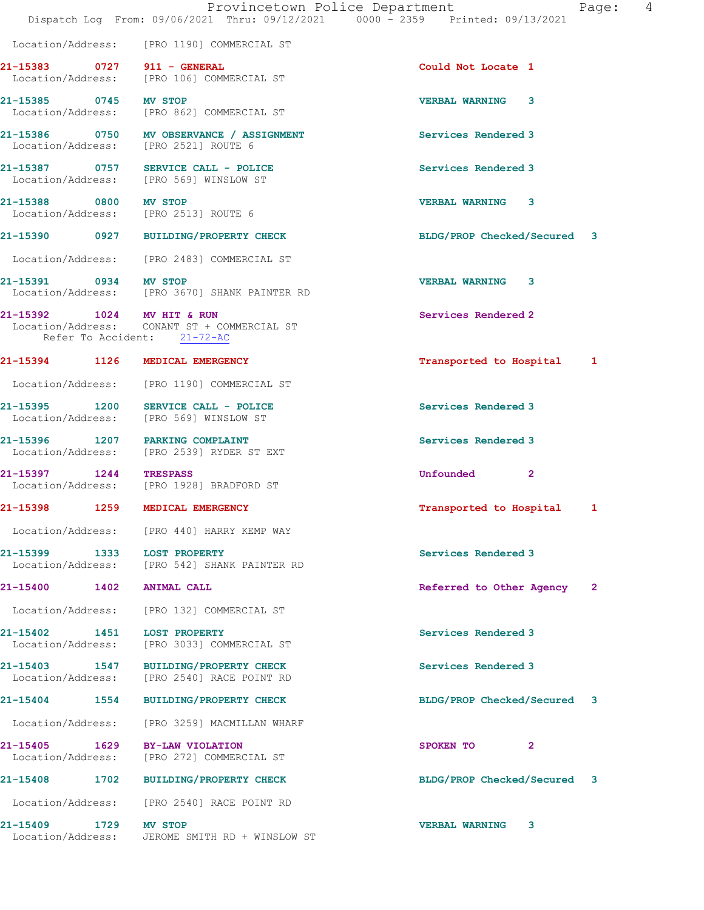|                                       | Dispatch Log From: 09/06/2021 Thru: 09/12/2021 0000 - 2359 Printed: 09/13/2021   | Provincetown Police Department<br>4<br>Page: |
|---------------------------------------|----------------------------------------------------------------------------------|----------------------------------------------|
|                                       | Location/Address: [PRO 1190] COMMERCIAL ST                                       |                                              |
| 21-15383 0727 911 - GENERAL           | Location/Address: [PRO 106] COMMERCIAL ST                                        | Could Not Locate 1                           |
| 21-15385 0745 MV STOP                 | Location/Address: [PRO 862] COMMERCIAL ST                                        | <b>VERBAL WARNING</b><br>3                   |
|                                       | 21-15386 0750 MV OBSERVANCE / ASSIGNMENT<br>Location/Address: [PRO 2521] ROUTE 6 | Services Rendered 3                          |
|                                       | 21-15387 0757 SERVICE CALL - POLICE<br>Location/Address: [PRO 569] WINSLOW ST    | Services Rendered 3                          |
| 21-15388 0800 MV STOP                 | Location/Address: [PRO 2513] ROUTE 6                                             | <b>VERBAL WARNING 3</b>                      |
|                                       | 21-15390 0927 BUILDING/PROPERTY CHECK                                            | BLDG/PROP Checked/Secured 3                  |
|                                       | Location/Address: [PRO 2483] COMMERCIAL ST                                       |                                              |
| 21-15391 0934 MV STOP                 | Location/Address: [PRO 3670] SHANK PAINTER RD                                    | <b>VERBAL WARNING</b><br>3                   |
| 21-15392 1024 MV HIT & RUN            | Location/Address: CONANT ST + COMMERCIAL ST<br>Refer To Accident: 21-72-AC       | Services Rendered 2                          |
|                                       | 21-15394 1126 MEDICAL EMERGENCY                                                  | Transported to Hospital<br>1                 |
| Location/Address:                     | [PRO 1190] COMMERCIAL ST                                                         |                                              |
| 21-15395 1200                         | SERVICE CALL - POLICE<br>Location/Address: [PRO 569] WINSLOW ST                  | Services Rendered 3                          |
|                                       | 21-15396 1207 PARKING COMPLAINT<br>Location/Address: [PRO 2539] RYDER ST EXT     | Services Rendered 3                          |
| 21-15397 1244<br>Location/Address:    | <b>TRESPASS</b><br>[PRO 1928] BRADFORD ST                                        | Unfounded<br>$\mathbf{2}$                    |
| 21-15398 1259                         | MEDICAL EMERGENCY                                                                | Transported to Hospital 1                    |
|                                       | Location/Address: [PRO 440] HARRY KEMP WAY                                       |                                              |
| 21-15399 1333                         | <b>LOST PROPERTY</b><br>Location/Address: [PRO 542] SHANK PAINTER RD             | Services Rendered 3                          |
| 21-15400<br>1402                      | <b>ANIMAL CALL</b>                                                               | Referred to Other Agency<br>$\mathbf{2}$     |
| Location/Address:                     | [PRO 132] COMMERCIAL ST                                                          |                                              |
| 21-15402 1451<br>Location/Address:    | <b>LOST PROPERTY</b><br>[PRO 3033] COMMERCIAL ST                                 | Services Rendered 3                          |
| 21-15403 1547<br>Location/Address:    | <b>BUILDING/PROPERTY CHECK</b><br>[PRO 2540] RACE POINT RD                       | Services Rendered 3                          |
| 21-15404<br>1554                      | <b>BUILDING/PROPERTY CHECK</b>                                                   | BLDG/PROP Checked/Secured 3                  |
| Location/Address:                     | [PRO 3259] MACMILLAN WHARF                                                       |                                              |
| 21-15405 1629<br>Location/Address:    | BY-LAW VIOLATION<br>[PRO 272] COMMERCIAL ST                                      | $\mathbf{2}$<br>SPOKEN TO                    |
| 21-15408<br>1702                      | <b>BUILDING/PROPERTY CHECK</b>                                                   | BLDG/PROP Checked/Secured 3                  |
| Location/Address:                     | [PRO 2540] RACE POINT RD                                                         |                                              |
| 21-15409<br>1729<br>Location/Address: | MV STOP<br>JEROME SMITH RD + WINSLOW ST                                          | <b>VERBAL WARNING</b><br>3                   |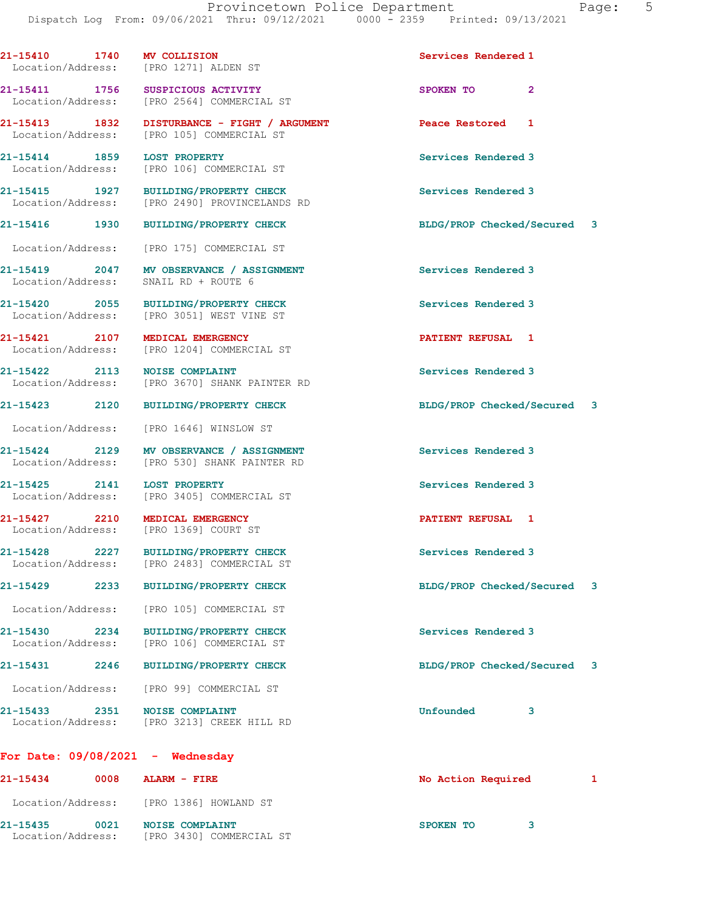|                                    |      | 21-15410 1740 MV COLLISION<br>Location/Address: [PRO 1271] ALDEN ST                      | Services Rendered 1         |   |
|------------------------------------|------|------------------------------------------------------------------------------------------|-----------------------------|---|
| 21-15411 1756<br>Location/Address: |      | SUSPICIOUS ACTIVITY<br>[PRO 2564] COMMERCIAL ST                                          | SPOKEN TO<br>$\mathbf{2}$   |   |
| 21-15413 1832                      |      | DISTURBANCE - FIGHT / ARGUMENT<br>Location/Address: [PRO 105] COMMERCIAL ST              | Peace Restored 1            |   |
| 21-15414 1859<br>Location/Address: |      | <b>LOST PROPERTY</b><br>[PRO 106] COMMERCIAL ST                                          | Services Rendered 3         |   |
| Location/Address:                  |      | 21-15415 1927 BUILDING/PROPERTY CHECK<br>[PRO 2490] PROVINCELANDS RD                     | Services Rendered 3         |   |
| 21-15416 1930                      |      | <b>BUILDING/PROPERTY CHECK</b>                                                           | BLDG/PROP Checked/Secured 3 |   |
|                                    |      | Location/Address: [PRO 175] COMMERCIAL ST                                                |                             |   |
| 21-15419 2047<br>Location/Address: |      | MV OBSERVANCE / ASSIGNMENT<br>SNAIL RD + ROUTE 6                                         | Services Rendered 3         |   |
| 21-15420 2055                      |      | BUILDING/PROPERTY CHECK<br>Location/Address: [PRO 3051] WEST VINE ST                     | Services Rendered 3         |   |
| 21-15421 2107<br>Location/Address: |      | MEDICAL EMERGENCY<br>[PRO 1204] COMMERCIAL ST                                            | PATIENT REFUSAL 1           |   |
| 21-15422 2113<br>Location/Address: |      | <b>NOISE COMPLAINT</b><br>[PRO 3670] SHANK PAINTER RD                                    | Services Rendered 3         |   |
| 21-15423 2120                      |      | <b>BUILDING/PROPERTY CHECK</b>                                                           | BLDG/PROP Checked/Secured 3 |   |
|                                    |      | Location/Address: [PRO 1646] WINSLOW ST                                                  |                             |   |
|                                    |      | 21-15424 2129 MV OBSERVANCE / ASSIGNMENT<br>Location/Address: [PRO 530] SHANK PAINTER RD | Services Rendered 3         |   |
| 21-15425 2141                      |      | <b>LOST PROPERTY</b><br>Location/Address: [PRO 3405] COMMERCIAL ST                       | Services Rendered 3         |   |
| 21-15427 2210                      |      | MEDICAL EMERGENCY<br>Location/Address: [PRO 1369] COURT ST                               | PATIENT REFUSAL 1           |   |
| Location/Address:                  |      | 21-15428 2227 BUILDING/PROPERTY CHECK<br>[PRO 2483] COMMERCIAL ST                        | Services Rendered 3         |   |
| 21-15429                           |      | 2233 BUILDING/PROPERTY CHECK                                                             | BLDG/PROP Checked/Secured   | 3 |
| Location/Address:                  |      | [PRO 105] COMMERCIAL ST                                                                  |                             |   |
| 21-15430 2234                      |      | <b>BUILDING/PROPERTY CHECK</b><br>Location/Address: [PRO 106] COMMERCIAL ST              | Services Rendered 3         |   |
| 21-15431                           | 2246 | <b>BUILDING/PROPERTY CHECK</b>                                                           | BLDG/PROP Checked/Secured 3 |   |
|                                    |      | Location/Address: [PRO 99] COMMERCIAL ST                                                 |                             |   |
|                                    |      | 21-15433 2351 NOISE COMPLAINT<br>Location/Address: [PRO 3213] CREEK HILL RD              | Unfounded<br>3              |   |
|                                    |      | For Date: $09/08/2021 -$ Wednesday                                                       |                             |   |
| 21-15434                           |      | 0008 ALARM - FIRE                                                                        | No Action Required          | 1 |
|                                    |      | Location/Address: [PRO 1386] HOWLAND ST                                                  |                             |   |

21-15435 0021 NOISE COMPLAINT SPOKEN TO 3 Location/Address: [PRO 3430] COMMERCIAL ST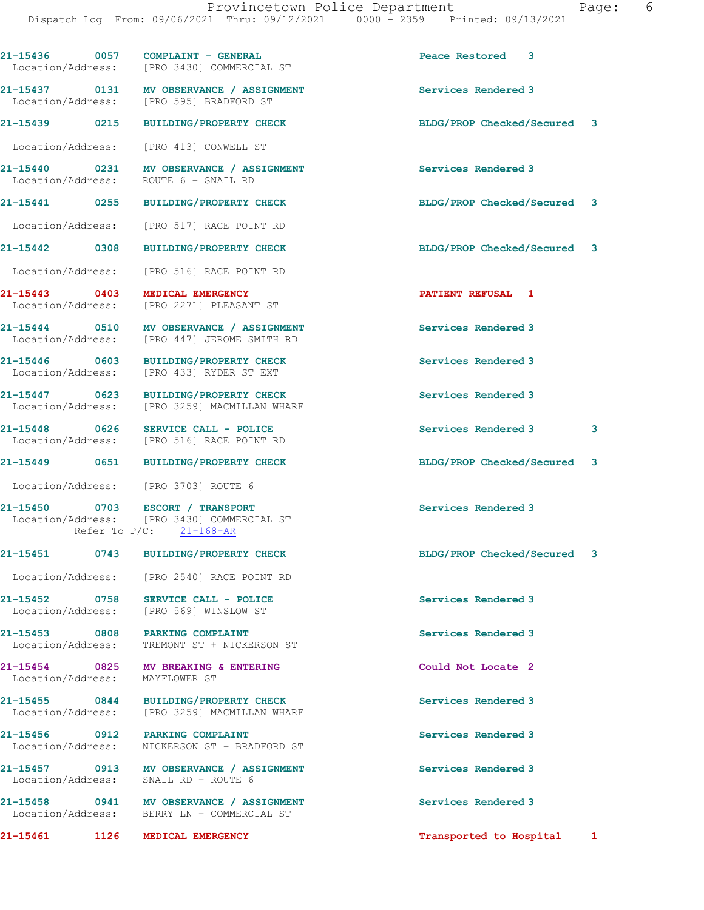21-15436 0057 COMPLAINT - GENERAL Peace Restored 3 Location/Address: [PRO 3430] COMMERCIAL ST 21-15437 0131 MV OBSERVANCE / ASSIGNMENT Services Rendered 3<br>
Location/Address: [PRO 595] BRADFORD ST [PRO 595] BRADFORD ST 21-15439 0215 BUILDING/PROPERTY CHECK BLDG/PROP Checked/Secured 3 Location/Address: [PRO 413] CONWELL ST 21-15440 0231 MV OBSERVANCE / ASSIGNMENT Services Rendered 3<br>
Location/Address: ROUTE 6 + SNAIL RD ROUTE 6 + SNAIL RD 21-15441 0255 BUILDING/PROPERTY CHECK BLDG/PROP Checked/Secured 3 Location/Address: [PRO 517] RACE POINT RD 21-15442 0308 BUILDING/PROPERTY CHECK BLDG/PROP Checked/Secured 3 Location/Address: [PRO 516] RACE POINT RD 21-15443 0403 MEDICAL EMERGENCY **PATIENT REFUSAL** 1 Location/Address: [PRO 2271] PLEASANT ST 21-15444 0510 MV OBSERVANCE / ASSIGNMENT Services Rendered 3 Location/Address: [PRO 447] JEROME SMITH RD 21-15446 0603 BUILDING/PROPERTY CHECK Services Rendered 3 Location/Address: [PRO 433] RYDER ST EXT 21-15447 0623 BUILDING/PROPERTY CHECK Services Rendered 3 Location/Address: [PRO 3259] MACMILLAN WHARF 21-15448 0626 SERVICE CALL - POLICE SERVICE SERVICE SERVICE SERVICE SERVICE SERVICE SERVICE SERVICE SERVICE S<br>
Services Rendered 3 [PRO 516] RACE POINT RD 21-15449 0651 BUILDING/PROPERTY CHECK BLDG/PROP Checked/Secured 3 Location/Address: [PRO 3703] ROUTE 6 21-15450 0703 ESCORT / TRANSPORT Services Rendered 3 Location/Address: [PRO 3430] COMMERCIAL ST Refer To P/C: 21-168-AR 21-15451 0743 BUILDING/PROPERTY CHECK BLDG/PROP Checked/Secured 3 Location/Address: [PRO 2540] RACE POINT RD 21-15452 0758 SERVICE CALL - POLICE Services Rendered 3 Location/Address: [PRO 569] WINSLOW ST 21-15453 0808 PARKING COMPLAINT Services Rendered 3 Location/Address: TREMONT ST + NICKERSON ST 21-15454 0825 MV BREAKING & ENTERING<br>
Location/Address: MAYFLOWER ST Location/Address: 21-15455 0844 BUILDING/PROPERTY CHECK Services Rendered 3 Location/Address: [PRO 3259] MACMILLAN WHARF 21-15456 0912 PARKING COMPLAINT Services Rendered 3 Location/Address: NICKERSON ST + BRADFORD ST 21-15457 0913 MV OBSERVANCE / ASSIGNMENT Services Rendered 3 Location/Address: SNAIL RD + ROUTE 6 21-15458 0941 MV OBSERVANCE / ASSIGNMENT Services Rendered 3 Location/Address: BERRY LN + COMMERCIAL ST 21-15461 1126 MEDICAL EMERGENCY Transported to Hospital 1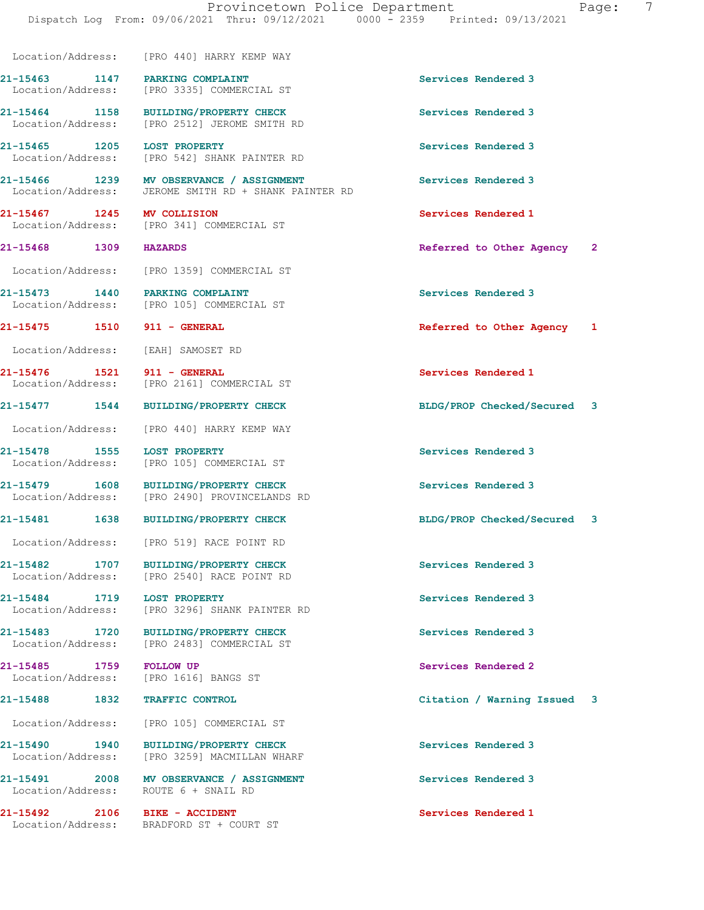Dispatch Log From: 09/06/2021 Thru: 09/12/2021 0000 - 2359 Printed: 09/13/2021 Location/Address: [PRO 440] HARRY KEMP WAY 21-15463 1147 PARKING COMPLAINT Services Rendered 3 Location/Address: [PRO 3335] COMMERCIAL ST 21-15464 1158 BUILDING/PROPERTY CHECK Services Rendered 3 Location/Address: [PRO 2512] JEROME SMITH RD 21-15465 1205 LOST PROPERTY<br>
Location/Address: [PRO 542] SHANK PAINTER RD<br>
Services Rendered 3 [PRO 542] SHANK PAINTER RD 21-15466 1239 MV OBSERVANCE / ASSIGNMENT Services Rendered 3 Location/Address: JEROME SMITH RD + SHANK PAINTER RD 21-15467 1245 MV COLLISION Services Rendered 1 Location/Address: [PRO 341] COMMERCIAL ST 21-15468 1309 HAZARDS Referred to Other Agency 2 Location/Address: [PRO 1359] COMMERCIAL ST 21-15473 1440 PARKING COMPLAINT 1997 1997 Services Rendered 3<br>
Location/Address: [PRO 105] COMMERCIAL ST [PRO 105] COMMERCIAL ST 21-15475 1510 911 - GENERAL Referred to Other Agency 1 Location/Address: [EAH] SAMOSET RD 21-15476 1521 911 - GENERAL Services Rendered 1 Location/Address: [PRO 2161] COMMERCIAL ST 21-15477 1544 BUILDING/PROPERTY CHECK BLDG/PROP Checked/Secured 3 Location/Address: [PRO 440] HARRY KEMP WAY 21-15478 1555 LOST PROPERTY **120 Services** Rendered 3 Location/Address: [PRO 105] COMMERCIAL ST 21-15479 1608 BUILDING/PROPERTY CHECK Services Rendered 3<br>
Location/Address: [PRO 2490] PROVINCELANDS RD [PRO 2490] PROVINCELANDS RD 21-15481 1638 BUILDING/PROPERTY CHECK BLDG/PROP Checked/Secured 3 Location/Address: [PRO 519] RACE POINT RD 21-15482 1707 BUILDING/PROPERTY CHECK Services Rendered 3 Location/Address: [PRO 2540] RACE POINT RD 21-15484 1719 LOST PROPERTY<br>
Location/Address: [PRO 3296] SHANK PAINTER RD<br>
Services Rendered 3 [PRO 3296] SHANK PAINTER RD 21-15483 1720 BUILDING/PROPERTY CHECK Services Rendered 3 Location/Address: [PRO 2483] COMMERCIAL ST 21-15485 1759 FOLLOW UP Services Rendered 2 Location/Address: [PRO 1616] BANGS ST 21-15488 1832 TRAFFIC CONTROL Citation / Warning Issued 3 Location/Address: [PRO 105] COMMERCIAL ST 21-15490 1940 BUILDING/PROPERTY CHECK Services Rendered 3 Location/Address: [PRO 3259] MACMILLAN WHARF 21-15491 2008 MV OBSERVANCE / ASSIGNMENT Services Rendered 3 Location/Address: ROUTE 6 + SNAIL RD 21-15492 2106 BIKE - ACCIDENT Services Rendered 1 Location/Address: BRADFORD ST + COURT ST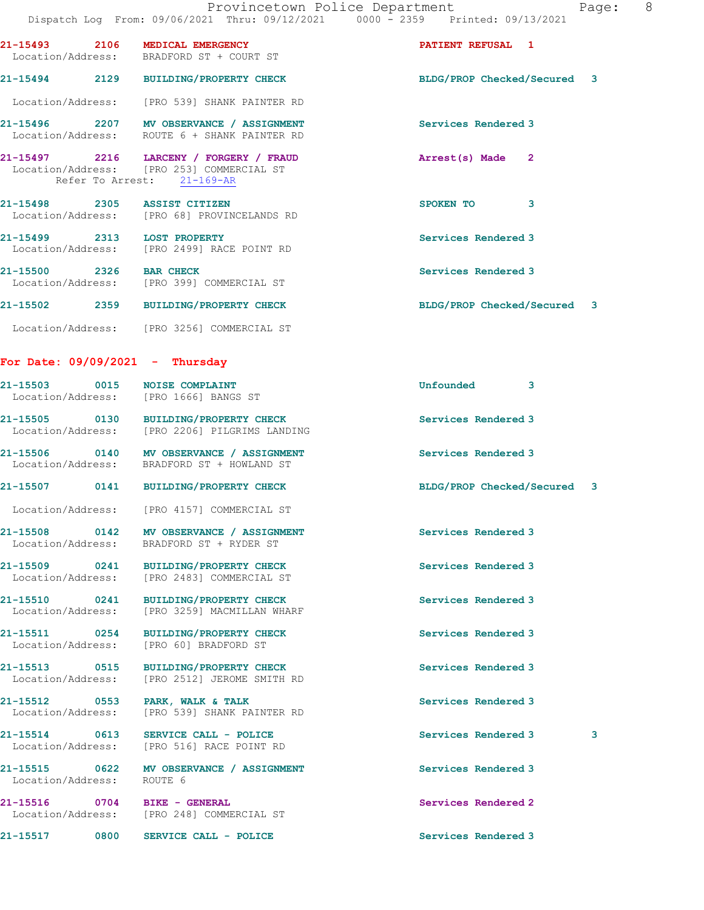|                                   |                                                                                                                    | 8 <sup>8</sup><br>Provincetown Police Department<br>Page: |
|-----------------------------------|--------------------------------------------------------------------------------------------------------------------|-----------------------------------------------------------|
|                                   | Dispatch Log From: 09/06/2021 Thru: 09/12/2021 0000 - 2359 Printed: 09/13/2021                                     |                                                           |
|                                   | 21-15493 2106 MEDICAL EMERGENCY<br>Location/Address: BRADFORD ST + COURT ST                                        | PATIENT REFUSAL 1                                         |
|                                   | 21-15494 2129 BUILDING/PROPERTY CHECK                                                                              | BLDG/PROP Checked/Secured 3                               |
|                                   | Location/Address: [PRO 539] SHANK PAINTER RD                                                                       |                                                           |
|                                   | 21-15496 2207 MV OBSERVANCE / ASSIGNMENT<br>Location/Address: ROUTE 6 + SHANK PAINTER RD                           | Services Rendered 3                                       |
|                                   | 21-15497 2216 LARCENY / FORGERY / FRAUD<br>Location/Address: [PRO 253] COMMERCIAL ST<br>Refer To Arrest: 21-169-AR | Arrest(s) Made 2                                          |
| 21-15498 2305 ASSIST CITIZEN      | Location/Address: [PRO 68] PROVINCELANDS RD                                                                        | SPOKEN TO 3                                               |
| 21-15499 2313 LOST PROPERTY       | Location/Address: [PRO 2499] RACE POINT RD                                                                         | Services Rendered 3                                       |
| 21-15500 2326 BAR CHECK           | Location/Address: [PRO 399] COMMERCIAL ST                                                                          | Services Rendered 3                                       |
|                                   | 21-15502 2359 BUILDING/PROPERTY CHECK                                                                              | BLDG/PROP Checked/Secured 3                               |
|                                   | Location/Address: [PRO 3256] COMMERCIAL ST                                                                         |                                                           |
| For Date: $09/09/2021 -$ Thursday |                                                                                                                    |                                                           |
| 21-15503 0015 NOISE COMPLAINT     | Location/Address: [PRO 1666] BANGS ST                                                                              | Unfounded<br>3                                            |
|                                   | 21-15505 0130 BUILDING/PROPERTY CHECK<br>Location/Address: [PRO 2206] PILGRIMS LANDING                             | Services Rendered 3                                       |
|                                   | 21-15506 0140 MV OBSERVANCE / ASSIGNMENT<br>Location/Address: BRADFORD ST + HOWLAND ST                             | Services Rendered 3                                       |
|                                   | 21-15507 0141 BUILDING/PROPERTY CHECK                                                                              | BLDG/PROP Checked/Secured 3                               |

Location/Address: [PRO 4157] COMMERCIAL ST

Location/Address: BRADFORD ST + RYDER ST

Location/Address: ROUTE 6

21-15508 0142 MV OBSERVANCE / ASSIGNMENT Services Rendered 3

21-15509 0241 BUILDING/PROPERTY CHECK Services Rendered 3 Location/Address: [PRO 2483] COMMERCIAL ST

21-15510 0241 BUILDING/PROPERTY CHECK Services Rendered 3 Location/Address: [PRO 3259] MACMILLAN WHARF

21-15511 0254 BUILDING/PROPERTY CHECK Services Rendered 3 Location/Address: [PRO 60] BRADFORD ST

21-15513 0515 BUILDING/PROPERTY CHECK Services Rendered 3 Location/Address: [PRO 2512] JEROME SMITH RD

21-15512 0553 PARK, WALK & TALK Services Rendered 3 Location/Address: [PRO 539] SHANK PAINTER RD

Location/Address: [PRO 516] RACE POINT RD

21-15515 0622 MV OBSERVANCE / ASSIGNMENT Services Rendered 3

21-15516 0704 BIKE - GENERAL Services Rendered 2 Location/Address: [PRO 248] COMMERCIAL ST

21-15517 0800 SERVICE CALL - POLICE Services Rendered 3

21-15514 0613 SERVICE CALL - POLICE 3 Services Rendered 3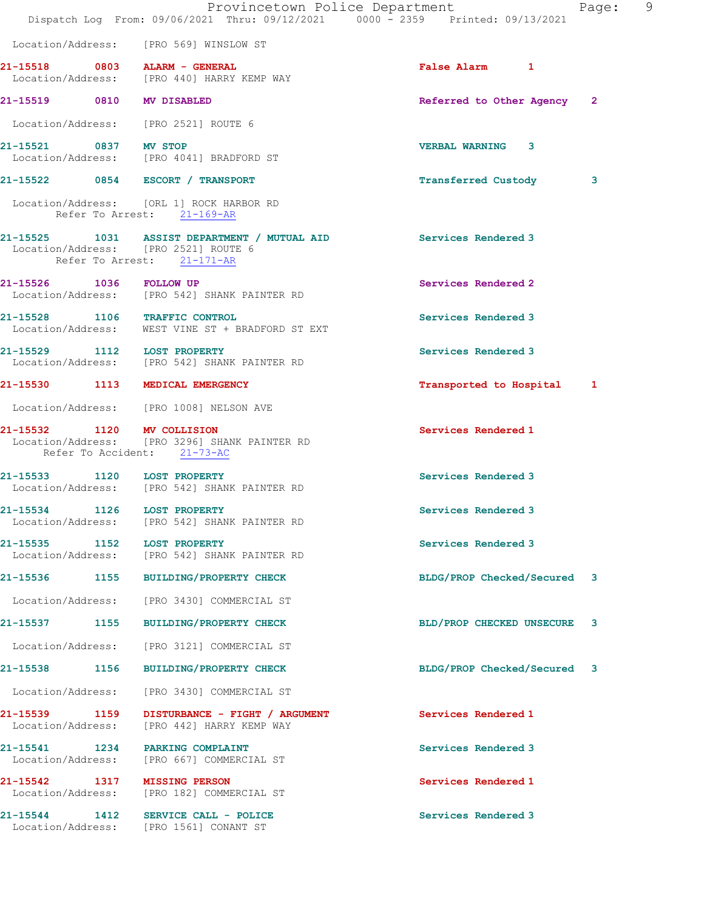|                                    | Provincetown Police Department<br>Dispatch Log From: 09/06/2021 Thru: 09/12/2021 0000 - 2359 Printed: 09/13/2021                       |                             | 9<br>Page: |
|------------------------------------|----------------------------------------------------------------------------------------------------------------------------------------|-----------------------------|------------|
|                                    | Location/Address: [PRO 569] WINSLOW ST                                                                                                 |                             |            |
|                                    | 21-15518 0803 ALARM - GENERAL<br>Location/Address: [PRO 440] HARRY KEMP WAY                                                            | False Alarm 1               |            |
| 21-15519 0810 MV DISABLED          |                                                                                                                                        | Referred to Other Agency 2  |            |
|                                    | Location/Address: [PRO 2521] ROUTE 6                                                                                                   |                             |            |
| 21-15521 0837 MV STOP              | Location/Address: [PRO 4041] BRADFORD ST                                                                                               | VERBAL WARNING 3            |            |
|                                    | 21-15522 0854 ESCORT / TRANSPORT                                                                                                       | Transferred Custody         | 3          |
|                                    | Location/Address: [ORL 1] ROCK HARBOR RD<br>Refer To Arrest: 21-169-AR                                                                 |                             |            |
|                                    | 21-15525 1031 ASSIST DEPARTMENT / MUTUAL AID Services Rendered 3<br>Location/Address: [PRO 2521] ROUTE 6<br>Refer To Arrest: 21-171-AR |                             |            |
| 21-15526 1036 FOLLOW UP            | Location/Address: [PRO 542] SHANK PAINTER RD                                                                                           | Services Rendered 2         |            |
|                                    | 21-15528 1106 TRAFFIC CONTROL<br>Location/Address: WEST VINE ST + BRADFORD ST EXT                                                      | Services Rendered 3         |            |
|                                    | 21-15529 1112 LOST PROPERTY<br>Location/Address: [PRO 542] SHANK PAINTER RD                                                            | Services Rendered 3         |            |
|                                    | 21-15530 1113 MEDICAL EMERGENCY                                                                                                        | Transported to Hospital 1   |            |
|                                    | Location/Address: [PRO 1008] NELSON AVE                                                                                                |                             |            |
| 21-15532 1120 MV COLLISION         | Location/Address: [PRO 3296] SHANK PAINTER RD<br>Refer To Accident: 21-73-AC                                                           | Services Rendered 1         |            |
| 21-15533 1120 LOST PROPERTY        | Location/Address: [PRO 542] SHANK PAINTER RD                                                                                           | Services Rendered 3         |            |
| 1126<br>21-15534                   | <b>LOST PROPERTY</b><br>Location/Address: [PRO 542] SHANK PAINTER RD                                                                   | Services Rendered 3         |            |
|                                    | 21-15535 1152 LOST PROPERTY<br>Location/Address: [PRO 542] SHANK PAINTER RD                                                            | Services Rendered 3         |            |
|                                    | 21-15536 1155 BUILDING/PROPERTY CHECK                                                                                                  | BLDG/PROP Checked/Secured 3 |            |
|                                    | Location/Address: [PRO 3430] COMMERCIAL ST                                                                                             |                             |            |
|                                    | 21-15537 1155 BUILDING/PROPERTY CHECK                                                                                                  | BLD/PROP CHECKED UNSECURE   | 3          |
|                                    | Location/Address: [PRO 3121] COMMERCIAL ST                                                                                             |                             |            |
| 21-15538 1156                      | BUILDING/PROPERTY CHECK                                                                                                                | BLDG/PROP Checked/Secured 3 |            |
| Location/Address:                  | [PRO 3430] COMMERCIAL ST                                                                                                               |                             |            |
| 21-15539 1159<br>Location/Address: | DISTURBANCE - FIGHT / ARGUMENT<br>[PRO 442] HARRY KEMP WAY                                                                             | Services Rendered 1         |            |
|                                    | 21-15541 1234 PARKING COMPLAINT<br>Location/Address: [PRO 667] COMMERCIAL ST                                                           | Services Rendered 3         |            |
| 21-15542 1317 MISSING PERSON       | Location/Address: [PRO 182] COMMERCIAL ST                                                                                              | Services Rendered 1         |            |
|                                    | 21-15544 1412 SERVICE CALL - POLICE<br>Location/Address: [PRO 1561] CONANT ST                                                          | Services Rendered 3         |            |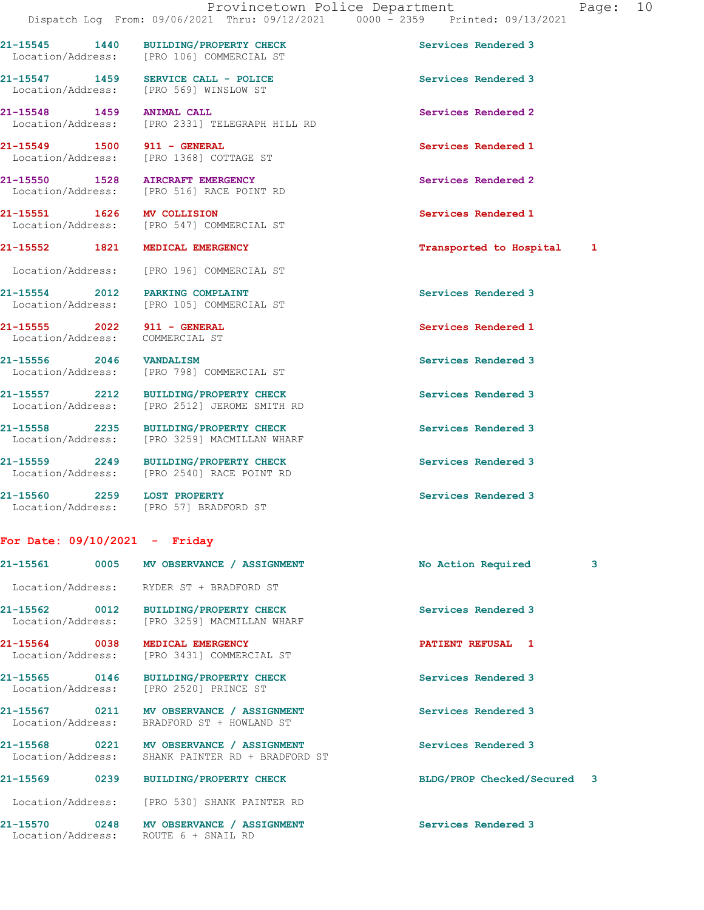21-15545 1440 BUILDING/PROPERTY CHECK Services Rendered 3 Location/Address: [PRO 106] COMMERCIAL ST

21-15547 1459 SERVICE CALL - POLICE Services Rendered 3 Location/Address: [PRO 569] WINSLOW ST

21-15548 1459 ANIMAL CALL Services Rendered 2 Location/Address: [PRO 2331] TELEGRAPH HILL RD

21-15549 1500 911 - GENERAL Services Rendered 1 Location/Address: [PRO 1368] COTTAGE ST

21-15550 1528 AIRCRAFT EMERGENCY Services Rendered 2 Location/Address: [PRO 516] RACE POINT RD

Location/Address: [PRO 547] COMMERCIAL ST

Location/Address: [PRO 196] COMMERCIAL ST

21-15554 2012 PARKING COMPLAINT Services Rendered 3 Location/Address: [PRO 105] COMMERCIAL ST

21-15555 2022 911 - GENERAL Services Rendered 1 Location/Address: COMMERCIAL ST

21-15556 2046 VANDALISM Services Rendered 3 Location/Address: [PRO 798] COMMERCIAL ST

21-15557 2212 BUILDING/PROPERTY CHECK Services Rendered 3 Location/Address: [PRO 2512] JEROME SMITH RD

21-15558 2235 BUILDING/PROPERTY CHECK Services Rendered 3 Location/Address: [PRO 3259] MACMILLAN WHARF

21-15559 2249 BUILDING/PROPERTY CHECK Services Rendered 3 Location/Address: [PRO 2540] RACE POINT RD

21-15560 2259 LOST PROPERTY **Services Rendered 3** Location/Address: [PRO 57] BRADFORD ST

## For Date: 09/10/2021 - Friday

| 21-15561<br>0005                | MV OBSERVANCE / ASSIGNMENT                                                                   | No Action Required          | 3 |
|---------------------------------|----------------------------------------------------------------------------------------------|-----------------------------|---|
|                                 | Location/Address: RYDER ST + BRADFORD ST                                                     |                             |   |
|                                 | 21-15562 0012 BUILDING/PROPERTY CHECK<br>Location/Address: [PRO 3259] MACMILLAN WHARF        | Services Rendered 3         |   |
| 21-15564 0038 MEDICAL EMERGENCY | Location/Address: [PRO 3431] COMMERCIAL ST                                                   | PATIENT REFUSAL 1           |   |
| Location/Address:               | 21-15565 0146 BUILDING/PROPERTY CHECK<br>[PRO 2520] PRINCE ST                                | Services Rendered 3         |   |
|                                 | 21-15567 0211 MV OBSERVANCE / ASSIGNMENT<br>Location/Address: BRADFORD ST + HOWLAND ST       | Services Rendered 3         |   |
|                                 | 21-15568 0221 MV OBSERVANCE / ASSIGNMENT<br>Location/Address: SHANK PAINTER RD + BRADFORD ST | Services Rendered 3         |   |
| 21-15569 0239                   | <b>BUILDING/PROPERTY CHECK</b>                                                               | BLDG/PROP Checked/Secured 3 |   |
|                                 | Location/Address: [PRO 530] SHANK PAINTER RD                                                 |                             |   |
| Location/Address:               | 21-15570 0248 MV OBSERVANCE / ASSIGNMENT<br>ROUTE 6 + SNAIL RD                               | Services Rendered 3         |   |

21-15551 1626 MV COLLISION Services Rendered 1 21-15552 1821 MEDICAL EMERGENCY Transported to Hospital 1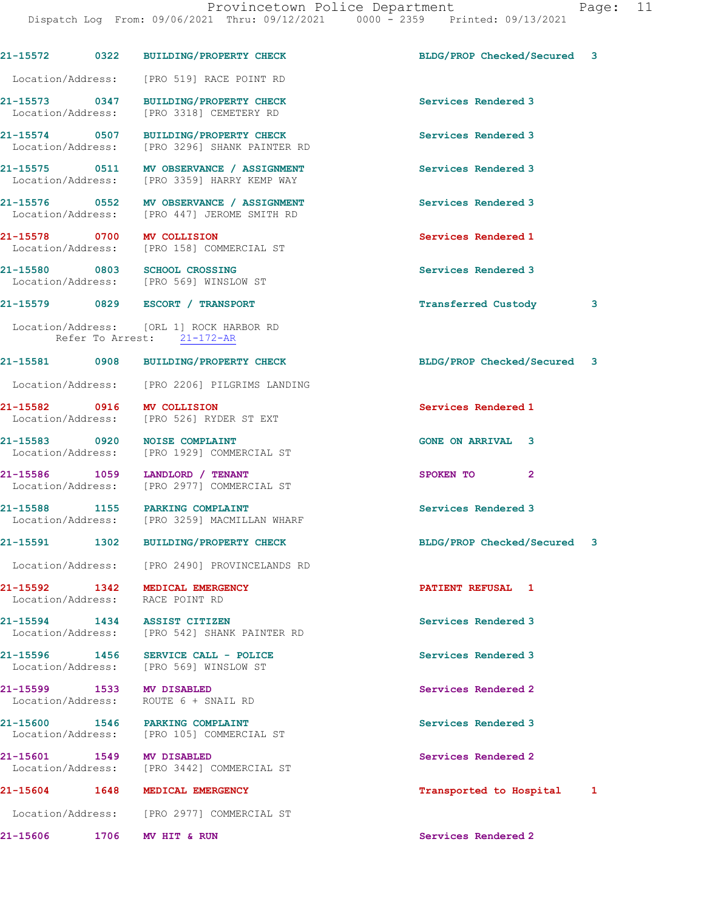|                           |      | 21-15572 0322 BUILDING/PROPERTY CHECK                                                   | BLDG/PROP Checked/Secured 3 |   |
|---------------------------|------|-----------------------------------------------------------------------------------------|-----------------------------|---|
|                           |      | Location/Address: [PRO 519] RACE POINT RD                                               |                             |   |
|                           |      | 21-15573 0347 BUILDING/PROPERTY CHECK<br>Location/Address: [PRO 3318] CEMETERY RD       | Services Rendered 3         |   |
|                           |      | 21-15574 0507 BUILDING/PROPERTY CHECK<br>Location/Address: [PRO 3296] SHANK PAINTER RD  | Services Rendered 3         |   |
|                           |      | 21-15575 0511 MV OBSERVANCE / ASSIGNMENT<br>Location/Address: [PRO 3359] HARRY KEMP WAY | Services Rendered 3         |   |
|                           |      | 21-15576 0552 MV OBSERVANCE / ASSIGNMENT<br>Location/Address: [PRO 447] JEROME SMITH RD | Services Rendered 3         |   |
|                           |      | 21-15578 0700 MV COLLISION<br>Location/Address: [PRO 158] COMMERCIAL ST                 | Services Rendered 1         |   |
|                           |      | 21-15580 0803 SCHOOL CROSSING<br>Location/Address: [PRO 569] WINSLOW ST                 | Services Rendered 3         |   |
|                           |      | 21-15579 0829 ESCORT / TRANSPORT                                                        | Transferred Custody         | 3 |
|                           |      | Location/Address: [ORL 1] ROCK HARBOR RD<br>Refer To Arrest: 21-172-AR                  |                             |   |
|                           |      | 21-15581 0908 BUILDING/PROPERTY CHECK                                                   | BLDG/PROP Checked/Secured 3 |   |
|                           |      | Location/Address: [PRO 2206] PILGRIMS LANDING                                           |                             |   |
|                           |      | 21-15582 0916 MV COLLISION<br>Location/Address: [PRO 526] RYDER ST EXT                  | Services Rendered 1         |   |
|                           |      | 21-15583 0920 NOISE COMPLAINT<br>Location/Address: [PRO 1929] COMMERCIAL ST             | <b>GONE ON ARRIVAL 3</b>    |   |
|                           |      | 21-15586 1059 LANDLORD / TENANT<br>Location/Address: [PRO 2977] COMMERCIAL ST           | $\mathbf{2}$<br>SPOKEN TO   |   |
|                           |      | 21-15588 1155 PARKING COMPLAINT<br>Location/Address: [PRO 3259] MACMILLAN WHARF         | Services Rendered 3         |   |
|                           |      | 21-15591 1302 BUILDING/PROPERTY CHECK                                                   | BLDG/PROP Checked/Secured 3 |   |
|                           |      | Location/Address: [PRO 2490] PROVINCELANDS RD                                           |                             |   |
|                           |      | 21-15592 1342 MEDICAL EMERGENCY<br>Location/Address: RACE POINT RD                      | PATIENT REFUSAL 1           |   |
|                           |      | 21-15594 1434 ASSIST CITIZEN<br>Location/Address: [PRO 542] SHANK PAINTER RD            | Services Rendered 3         |   |
|                           |      | 21-15596 1456 SERVICE CALL - POLICE<br>Location/Address: [PRO 569] WINSLOW ST           | Services Rendered 3         |   |
| 21-15599 1533 MV DISABLED |      | Location/Address: ROUTE 6 + SNAIL RD                                                    | Services Rendered 2         |   |
|                           |      | 21-15600 1546 PARKING COMPLAINT<br>Location/Address: [PRO 105] COMMERCIAL ST            | Services Rendered 3         |   |
| 21-15601 1549 MV DISABLED |      | Location/Address: [PRO 3442] COMMERCIAL ST                                              | Services Rendered 2         |   |
|                           |      | 21-15604 1648 MEDICAL EMERGENCY                                                         | Transported to Hospital 1   |   |
|                           |      | Location/Address: [PRO 2977] COMMERCIAL ST                                              |                             |   |
| 21-15606                  | 1706 | MV HIT & RUN                                                                            | Services Rendered 2         |   |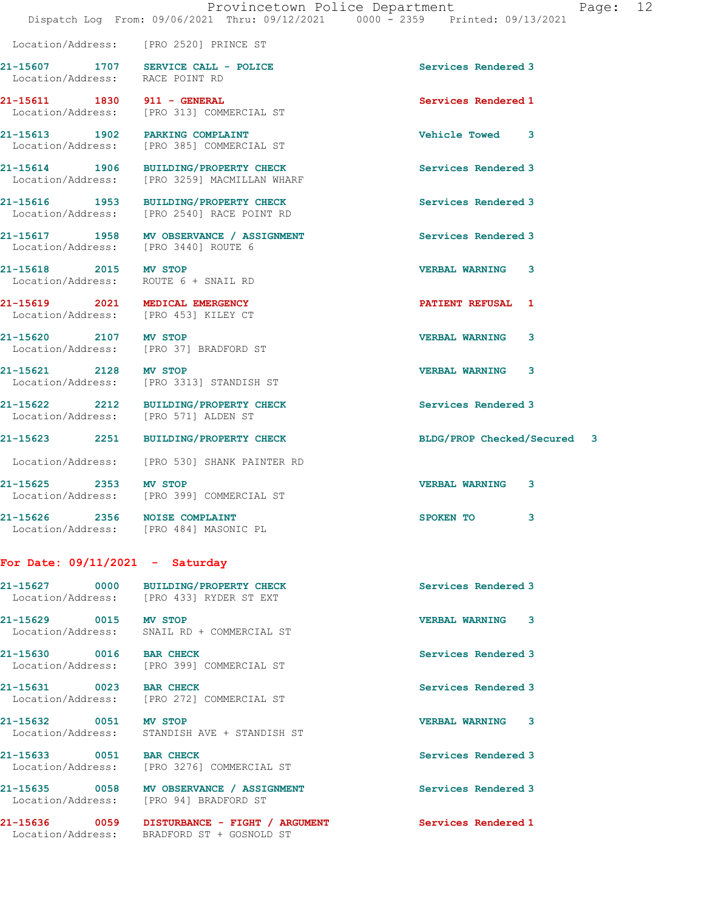| Location/Address: RACE POINT RD                                         | 21-15607 1707 SERVICE CALL - POLICE                                                   | Services Rendered 3         |
|-------------------------------------------------------------------------|---------------------------------------------------------------------------------------|-----------------------------|
| 21-15611 1830 911 - GENERAL                                             | Location/Address: [PRO 313] COMMERCIAL ST                                             | Services Rendered 1         |
|                                                                         | 21-15613 1902 PARKING COMPLAINT<br>Location/Address: [PRO 385] COMMERCIAL ST          | Vehicle Towed 3             |
|                                                                         | 21-15614 1906 BUILDING/PROPERTY CHECK<br>Location/Address: [PRO 3259] MACMILLAN WHARF | Services Rendered 3         |
|                                                                         | 21-15616 1953 BUILDING/PROPERTY CHECK<br>Location/Address: [PRO 2540] RACE POINT RD   | Services Rendered 3         |
| Location/Address: [PRO 3440] ROUTE 6                                    | 21-15617 1958 MV OBSERVANCE / ASSIGNMENT                                              | Services Rendered 3         |
| 21-15618 2015 MV STOP<br>Location/Address: ROUTE 6 + SNAIL RD           |                                                                                       | <b>VERBAL WARNING 3</b>     |
| 21-15619 2021 MEDICAL EMERGENCY<br>Location/Address: [PRO 453] KILEY CT |                                                                                       | PATIENT REFUSAL 1           |
| 21-15620 2107 MV STOP                                                   | Location/Address: [PRO 37] BRADFORD ST                                                | <b>VERBAL WARNING</b><br>3  |
| 21-15621 2128 MV STOP                                                   | Location/Address: [PRO 3313] STANDISH ST                                              | <b>VERBAL WARNING</b><br>3  |
| Location/Address: [PRO 571] ALDEN ST                                    | 21-15622 2212 BUILDING/PROPERTY CHECK                                                 | Services Rendered 3         |
|                                                                         | 21-15623 2251 BUILDING/PROPERTY CHECK                                                 | BLDG/PROP Checked/Secured 3 |
|                                                                         | Location/Address: [PRO 530] SHANK PAINTER RD                                          |                             |
| 21-15625 2353 MV STOP                                                   | Location/Address: [PRO 399] COMMERCIAL ST                                             | <b>VERBAL WARNING</b><br>3  |
|                                                                         | 21-15626 2356 NOISE COMPLAINT<br>Location/Address: [PRO 484] MASONIC PL               | SPOKEN TO<br>3              |

## For Date: 09/11/2021 - Saturday

Location/Address: [PRO 2520] PRINCE ST

| 21-15627          | 0000 | <b>BUILDING/PROPERTY CHECK</b> | Services Rendered 3   |
|-------------------|------|--------------------------------|-----------------------|
| Location/Address: |      | FPRO 4331 RYDER ST EXT         |                       |
| 21-15629          | 0015 | MV STOP                        | <b>VERBAL WARNING</b> |

Location/Address: SNAIL RD + COMMERCIAL ST

21-15630 0016 BAR CHECK Services Rendered 3 Location/Address: [PRO 399] COMMERCIAL ST

21-15631 0023 BAR CHECK Services Rendered 3 Location/Address: [PRO 272] COMMERCIAL ST

21-15632 0051 MV STOP VERBAL WARNING 3

21-15633 0051 BAR CHECK Services Rendered 3

Location/Address: STANDISH AVE + STANDISH ST

Location/Address: [PRO 3276] COMMERCIAL ST

21-15635 0058 MV OBSERVANCE / ASSIGNMENT Services Rendered 3 Location/Address: [PRO 94] BRADFORD ST

21-15636 0059 DISTURBANCE - FIGHT / ARGUMENT Services Rendered 1 Location/Address: BRADFORD ST + GOSNOLD ST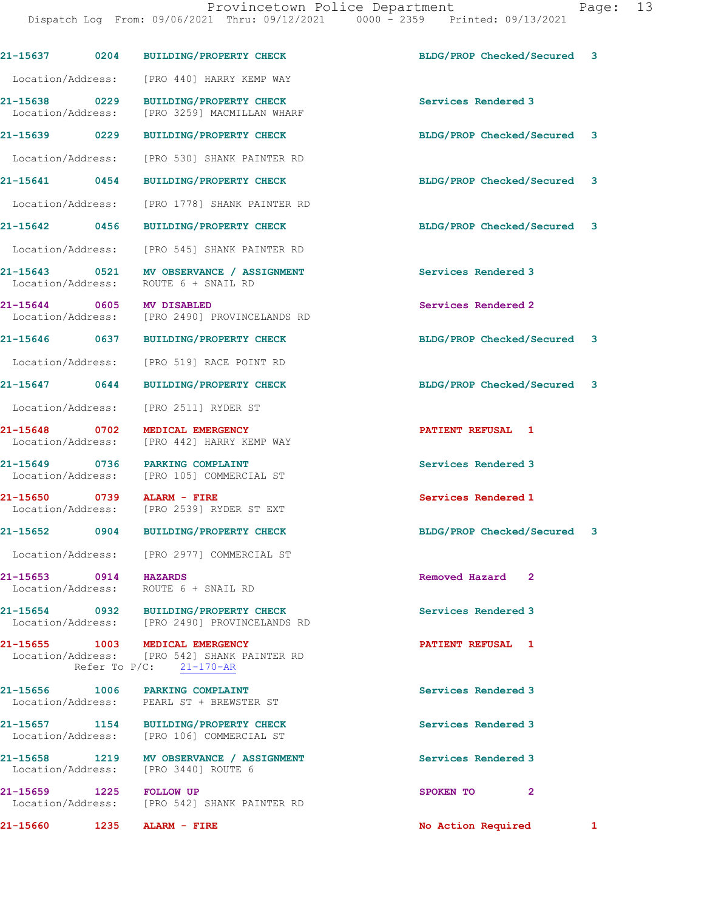Dispatch Log From: 09/06/2021 Thru: 09/12/2021 0000 - 2359 Printed: 09/13/2021

| 21-15660                                   | 1235 | ALARM - FIRE                                                                                    | No Action Required          | 1 |
|--------------------------------------------|------|-------------------------------------------------------------------------------------------------|-----------------------------|---|
| 21-15659 1225<br>Location/Address:         |      | <b>FOLLOW UP</b><br>[PRO 542] SHANK PAINTER RD                                                  | SPOKEN TO<br>$\overline{2}$ |   |
| 21-15658 1219<br>Location/Address:         |      | MV OBSERVANCE / ASSIGNMENT<br>[PRO 3440] ROUTE 6                                                | Services Rendered 3         |   |
| 21-15657 1154                              |      | <b>BUILDING/PROPERTY CHECK</b><br>Location/Address: [PRO 106] COMMERCIAL ST                     | Services Rendered 3         |   |
| 21-15656                                   |      | 1006 PARKING COMPLAINT<br>Location/Address: PEARL ST + BREWSTER ST                              | Services Rendered 3         |   |
| 21-15655 1003                              |      | MEDICAL EMERGENCY<br>Location/Address: [PRO 542] SHANK PAINTER RD<br>Refer To $P/C$ : 21-170-AR | PATIENT REFUSAL 1           |   |
|                                            |      | 21-15654 0932 BUILDING/PROPERTY CHECK<br>Location/Address: [PRO 2490] PROVINCELANDS RD          | Services Rendered 3         |   |
| 21-15653 0914 HAZARDS<br>Location/Address: |      | ROUTE 6 + SNAIL RD                                                                              | Removed Hazard 2            |   |
| Location/Address:                          |      | [PRO 2977] COMMERCIAL ST                                                                        |                             |   |
| 21-15652                                   | 0904 | <b>BUILDING/PROPERTY CHECK</b>                                                                  | BLDG/PROP Checked/Secured 3 |   |
| 21-15650 0739<br>Location/Address:         |      | ALARM - FIRE<br>[PRO 2539] RYDER ST EXT                                                         | Services Rendered 1         |   |
| 21-15649 0736<br>Location/Address:         |      | PARKING COMPLAINT<br>[PRO 105] COMMERCIAL ST                                                    | Services Rendered 3         |   |
| 21-15648 0702<br>Location/Address:         |      | MEDICAL EMERGENCY<br>[PRO 442] HARRY KEMP WAY                                                   | PATIENT REFUSAL 1           |   |
| Location/Address:                          |      | [PRO 2511] RYDER ST                                                                             |                             |   |
| 21-15647 0644                              |      | <b>BUILDING/PROPERTY CHECK</b>                                                                  | BLDG/PROP Checked/Secured 3 |   |
| Location/Address:                          |      | [PRO 519] RACE POINT RD                                                                         |                             |   |
| 21-15646 0637                              |      | <b>BUILDING/PROPERTY CHECK</b>                                                                  | BLDG/PROP Checked/Secured 3 |   |
| 21-15644 0605<br>Location/Address:         |      | MV DISABLED<br>[PRO 2490] PROVINCELANDS RD                                                      | Services Rendered 2         |   |
| 21-15643 0521<br>Location/Address:         |      | MV OBSERVANCE / ASSIGNMENT<br>ROUTE 6 + SNAIL RD                                                | Services Rendered 3         |   |
| Location/Address:                          |      | [PRO 545] SHANK PAINTER RD                                                                      |                             |   |
| 21-15642 0456                              |      | <b>BUILDING/PROPERTY CHECK</b>                                                                  | BLDG/PROP Checked/Secured 3 |   |
| Location/Address:                          |      | [PRO 1778] SHANK PAINTER RD                                                                     |                             |   |
| 21-15641 0454                              |      | <b>BUILDING/PROPERTY CHECK</b>                                                                  | BLDG/PROP Checked/Secured 3 |   |
| Location/Address:                          |      | [PRO 530] SHANK PAINTER RD                                                                      |                             |   |
| 21-15639 0229                              |      | <b>BUILDING/PROPERTY CHECK</b>                                                                  | BLDG/PROP Checked/Secured 3 |   |
| 21-15638 0229<br>Location/Address:         |      | <b>BUILDING/PROPERTY CHECK</b><br>[PRO 3259] MACMILLAN WHARF                                    | Services Rendered 3         |   |
| Location/Address:                          |      | [PRO 440] HARRY KEMP WAY                                                                        |                             |   |
| 21-15637                                   | 0204 | <b>BUILDING/PROPERTY CHECK</b>                                                                  | BLDG/PROP Checked/Secured 3 |   |
|                                            |      |                                                                                                 |                             |   |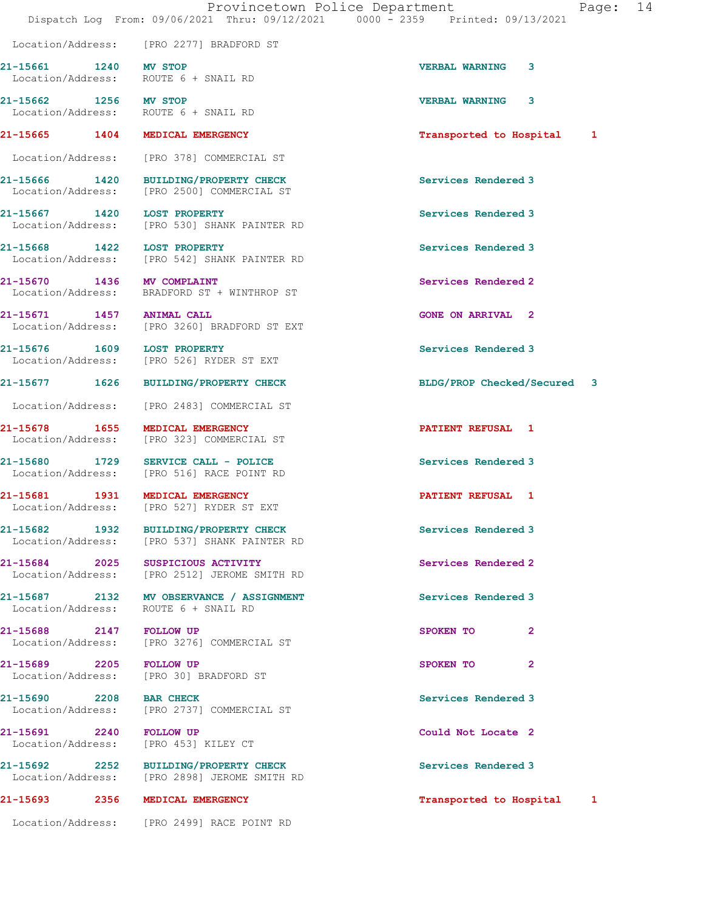21-15661 1240 MV STOP 20 21-15661 221-15661

 Location/Address: ROUTE 6 + SNAIL RD 21-15662 1256 MV STOP 1256 VERBAL WARNING 3<br>
Location/Address: ROUTE 6 + SNAIL RD ROUTE 6 + SNAIL RD 21-15665 1404 MEDICAL EMERGENCY **1201** 12 Transported to Hospital 1 Location/Address: [PRO 378] COMMERCIAL ST 21-15666 1420 BUILDING/PROPERTY CHECK Services Rendered 3 Location/Address: [PRO 2500] COMMERCIAL ST 21-15667 1420 LOST PROPERTY Services Rendered 3 Location/Address: [PRO 530] SHANK PAINTER RD 21-15668 1422 LOST PROPERTY Services Rendered 3 Location/Address: [PRO 542] SHANK PAINTER RD 21-15670 1436 MV COMPLAINT Services Rendered 2 Location/Address: BRADFORD ST + WINTHROP ST 21-15671 1457 ANIMAL CALL GONE ON ARRIVAL 2 Location/Address: [PRO 3260] BRADFORD ST EXT 21-15676 1609 LOST PROPERTY Services Rendered 3 Location/Address: [PRO 526] RYDER ST EXT 21-15677 1626 BUILDING/PROPERTY CHECK BLDG/PROP Checked/Secured 3 Location/Address: [PRO 2483] COMMERCIAL ST 21-15678 1655 MEDICAL EMERGENCY **120 CONTRACT AND ALGO AN ALGO MEDICAL** 1 Location/Address: [PRO 323] COMMERCIAL ST 21-15680 1729 SERVICE CALL - POLICE 21-15680 Services Rendered 3 Location/Address: [PRO 516] RACE POINT RD 21-15681 1931 MEDICAL EMERGENCY **1931 1931 1931 1941** EATLENT REFUSAL 1 Location/Address: [PRO 527] RYDER ST EXT 21-15682 1932 BUILDING/PROPERTY CHECK Services Rendered 3 Location/Address: [PRO 537] SHANK PAINTER RD 21-15684 2025 SUSPICIOUS ACTIVITY Services Rendered 2 Location/Address: [PRO 2512] JEROME SMITH RD 21-15687 2132 MV OBSERVANCE / ASSIGNMENT Services Rendered 3 Location/Address: ROUTE 6 + SNAIL RD 21-15688 2147 FOLLOW UP 2008 2009 SPOKEN TO 2 Location/Address: [PRO 3276] COMMERCIAL ST 21-15689 2205 FOLLOW UP SPOKEN TO 2 Location/Address: [PRO 30] BRADFORD ST

21-15690 2208 BAR CHECK Services Rendered 3 Location/Address: [PRO 2737] COMMERCIAL ST

21-15691 2240 FOLLOW UP Could Not Locate 2 Location/Address: [PRO 453] KILEY CT

21-15692 2252 BUILDING/PROPERTY CHECK Services Rendered 3 Location/Address: [PRO 2898] JEROME SMITH RD

Location/Address: [PRO 2277] BRADFORD ST

Location/Address: [PRO 2499] RACE POINT RD

21-15693 2356 MEDICAL EMERGENCY Transported to Hospital 1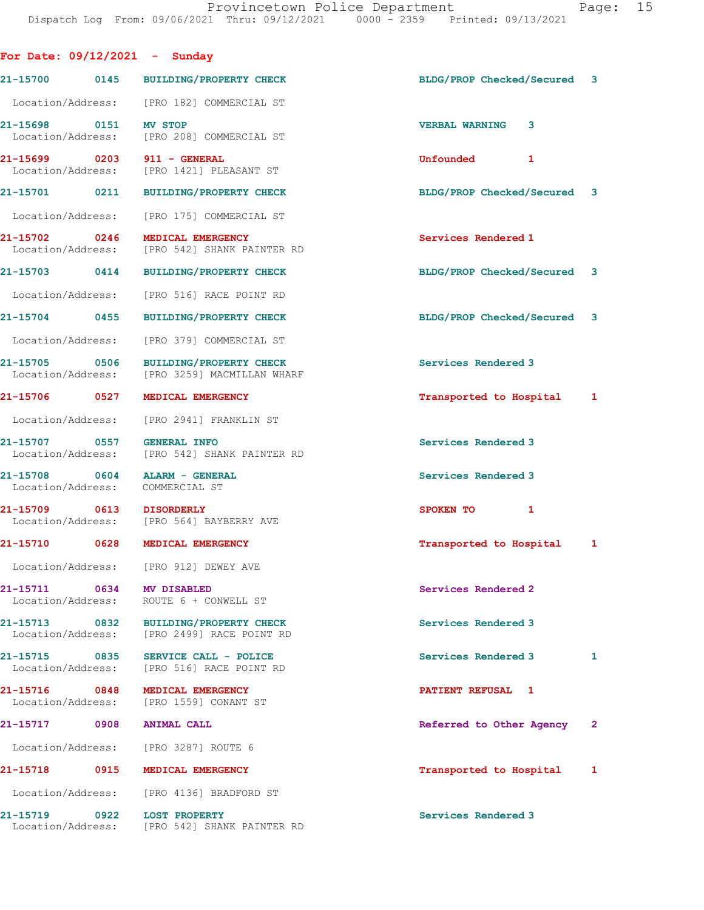|                                    |      | For Date: $09/12/2021$ - Sunday                                                       |                             |              |
|------------------------------------|------|---------------------------------------------------------------------------------------|-----------------------------|--------------|
|                                    |      | 21-15700 0145 BUILDING/PROPERTY CHECK                                                 | BLDG/PROP Checked/Secured 3 |              |
|                                    |      | Location/Address: [PRO 182] COMMERCIAL ST                                             |                             |              |
| 21-15698 0151                      |      | <b>MV STOP</b><br>Location/Address: [PRO 208] COMMERCIAL ST                           | <b>VERBAL WARNING</b><br>3  |              |
|                                    |      | 21-15699 0203 911 - GENERAL<br>Location/Address: [PRO 1421] PLEASANT ST               | Unfounded<br>1              |              |
|                                    |      | 21-15701 0211 BUILDING/PROPERTY CHECK                                                 | BLDG/PROP Checked/Secured 3 |              |
| Location/Address:                  |      | [PRO 175] COMMERCIAL ST                                                               |                             |              |
| 21-15702 0246<br>Location/Address: |      | MEDICAL EMERGENCY<br>[PRO 542] SHANK PAINTER RD                                       | Services Rendered 1         |              |
| 21-15703 0414                      |      | BUILDING/PROPERTY CHECK                                                               | BLDG/PROP Checked/Secured 3 |              |
| Location/Address:                  |      | [PRO 516] RACE POINT RD                                                               |                             |              |
| 21-15704 0455                      |      | <b>BUILDING/PROPERTY CHECK</b>                                                        | BLDG/PROP Checked/Secured 3 |              |
| Location/Address:                  |      | [PRO 379] COMMERCIAL ST                                                               |                             |              |
|                                    |      | 21-15705 0506 BUILDING/PROPERTY CHECK<br>Location/Address: [PRO 3259] MACMILLAN WHARF | Services Rendered 3         |              |
| 21-15706 0527                      |      | <b>MEDICAL EMERGENCY</b>                                                              | Transported to Hospital     | 1            |
|                                    |      | Location/Address: [PRO 2941] FRANKLIN ST                                              |                             |              |
| 21-15707 0557                      |      | <b>GENERAL INFO</b><br>Location/Address: [PRO 542] SHANK PAINTER RD                   | Services Rendered 3         |              |
|                                    |      | 21-15708 0604 ALARM - GENERAL<br>Location/Address: COMMERCIAL ST                      | Services Rendered 3         |              |
|                                    |      | 21-15709 0613 DISORDERLY<br>Location/Address: [PRO 564] BAYBERRY AVE                  | SPOKEN TO<br>$\mathbf{1}$   |              |
|                                    |      | 21-15710 0628 MEDICAL EMERGENCY                                                       | Transported to Hospital     | $\mathbf{1}$ |
|                                    |      | Location/Address: [PRO 912] DEWEY AVE                                                 |                             |              |
|                                    |      | 21-15711 0634 MV DISABLED<br>Location/Address: ROUTE 6 + CONWELL ST                   | Services Rendered 2         |              |
|                                    |      | 21-15713 0832 BUILDING/PROPERTY CHECK<br>Location/Address: [PRO 2499] RACE POINT RD   | Services Rendered 3         |              |
|                                    |      | 21-15715 0835 SERVICE CALL - POLICE<br>Location/Address: [PRO 516] RACE POINT RD      | Services Rendered 3         | 1            |
| 21-15716 0848                      |      | MEDICAL EMERGENCY<br>Location/Address: [PRO 1559] CONANT ST                           | PATIENT REFUSAL 1           |              |
|                                    |      | 21-15717 0908 ANIMAL CALL                                                             | Referred to Other Agency    | $\mathbf{2}$ |
|                                    |      | Location/Address: [PRO 3287] ROUTE 6                                                  |                             |              |
| 21-15718                           | 0915 | MEDICAL EMERGENCY                                                                     | Transported to Hospital     | 1            |
|                                    |      | Location/Address: [PRO 4136] BRADFORD ST                                              |                             |              |
| 21-15719 0922                      |      | <b>LOST PROPERTY</b><br>Location/Address: [PRO 542] SHANK PAINTER RD                  | Services Rendered 3         |              |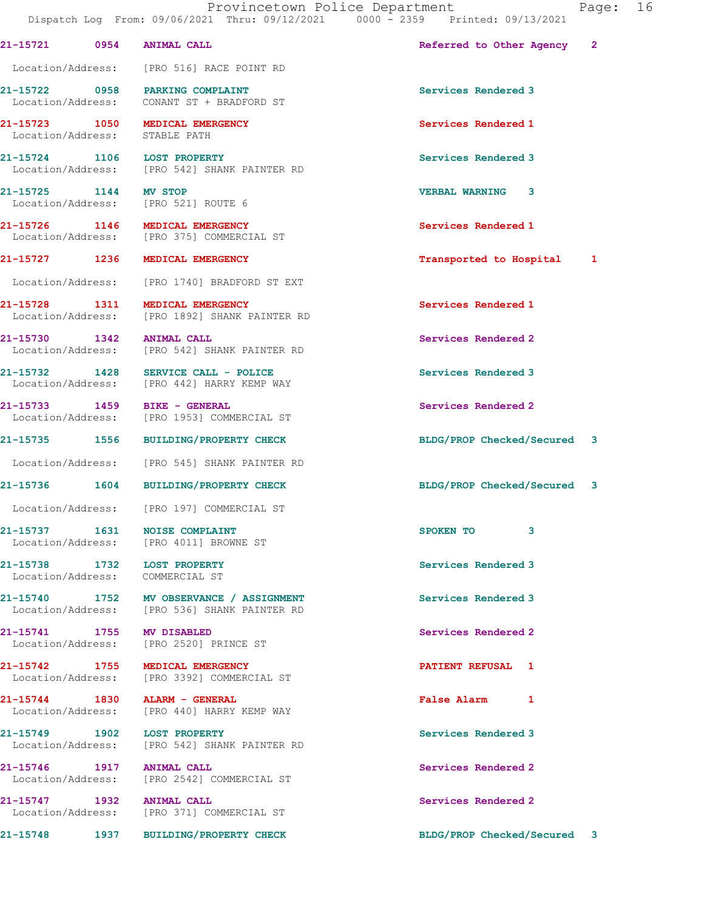21-15721 0954 ANIMAL CALL Referred to Other Agency 2 Location/Address: [PRO 516] RACE POINT RD

21-15722 0958 PARKING COMPLAINT Services Rendered 3

Location/Address: STABLE PATH

21-15724 1106 LOST PROPERTY **120 Services Rendered 3** 

21-15725 1144 MV STOP VERBAL WARNING 3

Location/Address: [PRO 1740] BRADFORD ST EXT

21-15738 1732 LOST PROPERTY Services Rendered 3 Location/Address: COMMERCIAL ST

 Location/Address: CONANT ST + BRADFORD ST 21-15723 1050 MEDICAL EMERGENCY Services Rendered 1

Location/Address: [PRO 542] SHANK PAINTER RD

Location/Address: [PRO 521] ROUTE 6

21-15726 1146 MEDICAL EMERGENCY Services Rendered 1 Location/Address: [PRO 375] COMMERCIAL ST

21-15728 1311 MEDICAL EMERGENCY Services Rendered 1 Location/Address: [PRO 1892] SHANK PAINTER RD

21-15730 1342 ANIMAL CALL Services Rendered 2<br>
Location/Address: [PRO 542] SHANK PAINTER RD [PRO 542] SHANK PAINTER RD

21-15732 1428 SERVICE CALL - POLICE Services Rendered 3 Location/Address: [PRO 442] HARRY KEMP WAY

21-15733 1459 BIKE - GENERAL Services Rendered 2 Location/Address: [PRO 1953] COMMERCIAL ST

Location/Address: [PRO 545] SHANK PAINTER RD

Location/Address: [PRO 197] COMMERCIAL ST

21-15737 1631 NOISE COMPLAINT 3 Location/Address: [PRO 4011] BROWNE ST

21-15740 1752 MV OBSERVANCE / ASSIGNMENT Services Rendered 3 Location/Address: [PRO 536] SHANK PAINTER RD

21-15741 1755 MV DISABLED Services Rendered 2 Location/Address: [PRO 2520] PRINCE ST

21-15742 1755 MEDICAL EMERGENCY PATIENT REFUSAL 1 [PRO 3392] COMMERCIAL ST

21-15744 1830 ALARM - GENERAL False Alarm 1 Location/Address: [PRO 440] HARRY KEMP WAY

21-15749 1902 LOST PROPERTY Services Rendered 3 Location/Address: [PRO 542] SHANK PAINTER RD

21-15746 1917 ANIMAL CALL Services Rendered 2 Location/Address: [PRO 2542] COMMERCIAL ST

21-15747 1932 ANIMAL CALL 21-15747 Services Rendered 2 Location/Address: [PRO 371] COMMERCIAL ST

21-15727 1236 MEDICAL EMERGENCY Transported to Hospital 1

21-15735 1556 BUILDING/PROPERTY CHECK BLDG/PROP Checked/Secured 3

21-15736 1604 BUILDING/PROPERTY CHECK BLDG/PROP Checked/Secured 3

21-15748 1937 BUILDING/PROPERTY CHECK BLDG/PROP Checked/Secured 3